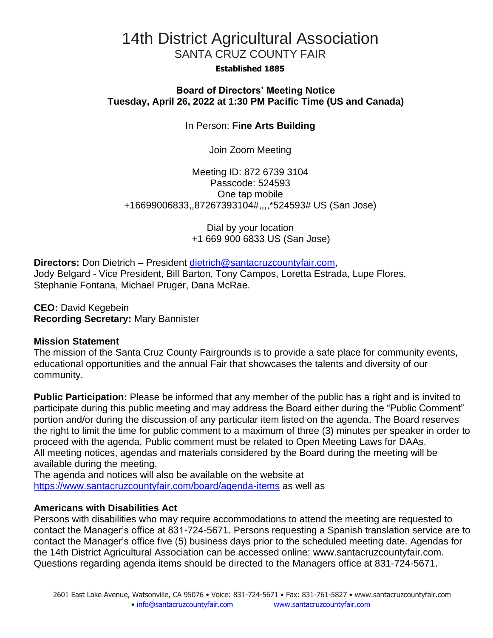# 14th District Agricultural Association SANTA CRUZ COUNTY FAIR

#### **Established 1885**

# **Board of Directors' Meeting Notice Tuesday, April 26, 2022 at 1:30 PM Pacific Time (US and Canada)**

In Person: **Fine Arts Building**

Join Zoom Meeting

Meeting ID: 872 6739 3104 Passcode: 524593 One tap mobile +16699006833,,87267393104#,,,,\*524593# US (San Jose)

> Dial by your location +1 669 900 6833 US (San Jose)

**Directors:** Don Dietrich – President [dietrich@santacruzcountyfair.com,](mailto:dietrich@santacruzcountyfair.com) Jody Belgard - Vice President, Bill Barton, Tony Campos, Loretta Estrada, Lupe Flores, Stephanie Fontana, Michael Pruger, Dana McRae.

**CEO:** David Kegebein **Recording Secretary:** Mary Bannister

## **Mission Statement**

The mission of the Santa Cruz County Fairgrounds is to provide a safe place for community events, educational opportunities and the annual Fair that showcases the talents and diversity of our community.

**Public Participation:** Please be informed that any member of the public has a right and is invited to participate during this public meeting and may address the Board either during the "Public Comment" portion and/or during the discussion of any particular item listed on the agenda. The Board reserves the right to limit the time for public comment to a maximum of three (3) minutes per speaker in order to proceed with the agenda. Public comment must be related to Open Meeting Laws for DAAs. All meeting notices, agendas and materials considered by the Board during the meeting will be available during the meeting.

The agenda and notices will also be available on the website at <https://www.santacruzcountyfair.com/board/agenda-items> as well as

## **Americans with Disabilities Act**

Persons with disabilities who may require accommodations to attend the meeting are requested to contact the Manager's office at 831-724-5671. Persons requesting a Spanish translation service are to contact the Manager's office five (5) business days prior to the scheduled meeting date. Agendas for the 14th District Agricultural Association can be accessed online: [www.santacruzcountyfair.com.](http://www.santacruzcountyfair.com/) Questions regarding agenda items should be directed to the Managers office at 831-724-5671.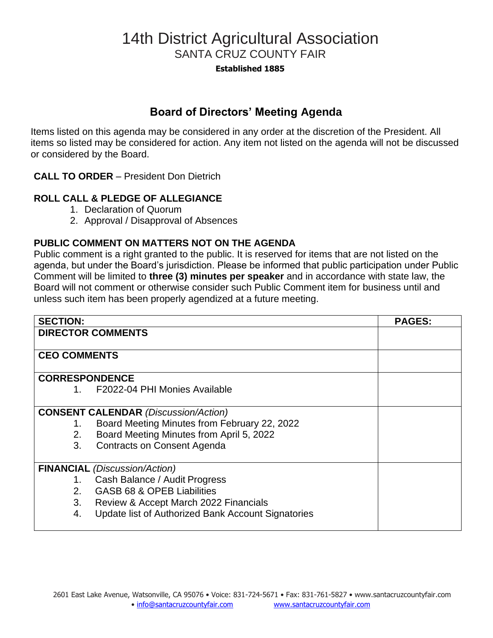# 14th District Agricultural Association SANTA CRUZ COUNTY FAIR

**Established 1885**

# **Board of Directors' Meeting Agenda**

Items listed on this agenda may be considered in any order at the discretion of the President. All items so listed may be considered for action. Any item not listed on the agenda will not be discussed or considered by the Board.

**CALL TO ORDER** – President Don Dietrich

# **ROLL CALL & PLEDGE OF ALLEGIANCE**

- 1. Declaration of Quorum
- 2. Approval / Disapproval of Absences

## **PUBLIC COMMENT ON MATTERS NOT ON THE AGENDA**

Public comment is a right granted to the public. It is reserved for items that are not listed on the agenda, but under the Board's jurisdiction. Please be informed that public participation under Public Comment will be limited to **three (3) minutes per speaker** and in accordance with state law, the Board will not comment or otherwise consider such Public Comment item for business until and unless such item has been properly agendized at a future meeting.

| <b>SECTION:</b>                             |                                                    | <b>PAGES:</b> |
|---------------------------------------------|----------------------------------------------------|---------------|
| <b>DIRECTOR COMMENTS</b>                    |                                                    |               |
| <b>CEO COMMENTS</b>                         |                                                    |               |
|                                             |                                                    |               |
| <b>CORRESPONDENCE</b>                       |                                                    |               |
| 1.                                          | F2022-04 PHI Monies Available                      |               |
|                                             |                                                    |               |
| <b>CONSENT CALENDAR (Discussion/Action)</b> |                                                    |               |
| 1.                                          | Board Meeting Minutes from February 22, 2022       |               |
| 2.                                          | Board Meeting Minutes from April 5, 2022           |               |
| 3.                                          | <b>Contracts on Consent Agenda</b>                 |               |
|                                             |                                                    |               |
| <b>FINANCIAL</b> (Discussion/Action)        |                                                    |               |
| 1.                                          | Cash Balance / Audit Progress                      |               |
| 2.                                          | GASB 68 & OPEB Liabilities                         |               |
| 3.                                          | Review & Accept March 2022 Financials              |               |
| 4.                                          | Update list of Authorized Bank Account Signatories |               |